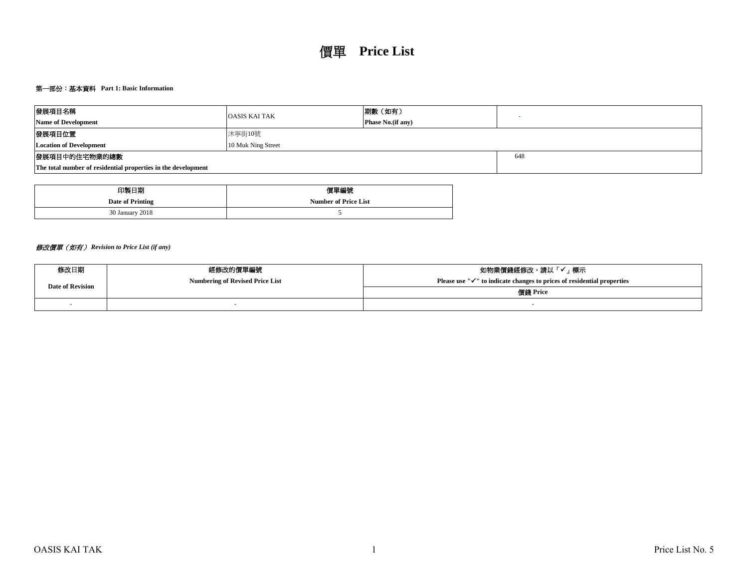# 第一部份:基本資料 **Part 1: Basic Information**

| 發展項目名稱                                                        | <b>OASIS KAI TAK</b> | 期數 (如有)                   |  |  |  |  |  |  |
|---------------------------------------------------------------|----------------------|---------------------------|--|--|--|--|--|--|
| <b>Name of Development</b>                                    |                      | <b>Phase No.</b> (if any) |  |  |  |  |  |  |
| 發展項目位置                                                        | 沐寧街10號               |                           |  |  |  |  |  |  |
| <b>Location of Development</b>                                |                      |                           |  |  |  |  |  |  |
| 發展項目中的住宅物業的總數                                                 |                      | 648                       |  |  |  |  |  |  |
| The total number of residential properties in the development |                      |                           |  |  |  |  |  |  |

| 印製日期             | 價單編號                        |
|------------------|-----------------------------|
| Date of Printing | <b>Number of Price List</b> |
| 30 January 2018  |                             |

# 修改價單(如有) *Revision to Price List (if any)*

| 修改日期                    | 經修改的價單編號                               | 如物業價錢經修改,請以「✔」標示                                                                    |  |  |  |  |  |
|-------------------------|----------------------------------------|-------------------------------------------------------------------------------------|--|--|--|--|--|
| <b>Date of Revision</b> | <b>Numbering of Revised Price List</b> | Please use " $\checkmark$ " to indicate changes to prices of residential properties |  |  |  |  |  |
|                         |                                        | 價錢 Price                                                                            |  |  |  |  |  |
|                         |                                        |                                                                                     |  |  |  |  |  |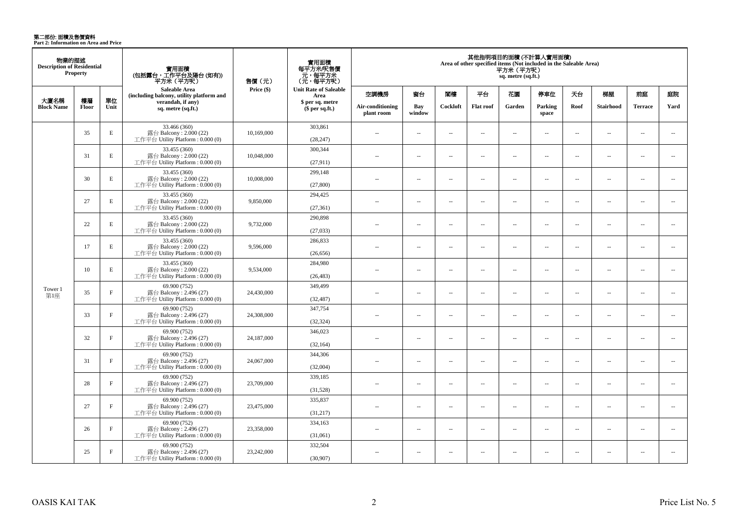**第二部份: 面積及售價資料**<br>Part 2: Information on Area and Price

| 物業的描述<br><b>Description of Residential</b><br><b>Property</b> |             |              | 實用面積<br>(包括露台,工作平台及陽台(如有))<br>平方米 (平方呎)                                      | 售價 (元)     | 實用面積<br>每平方米/呎售價<br>- 元, 每平方米<br>(元, 每平方呎) | 其他指明項目的面積(不計算入實用面積)<br>Area of other specified items (Not included in the Saleable Area)<br>平方米(平方呎)<br>sq. metre (sq.ft.) |                          |                          |                          |                          |                          |                          |                          |                          |                          |
|---------------------------------------------------------------|-------------|--------------|------------------------------------------------------------------------------|------------|--------------------------------------------|----------------------------------------------------------------------------------------------------------------------------|--------------------------|--------------------------|--------------------------|--------------------------|--------------------------|--------------------------|--------------------------|--------------------------|--------------------------|
|                                                               |             |              | Saleable Area<br>(including balcony, utility platform and                    | Price (\$) | <b>Unit Rate of Saleable</b><br>Area       | 空調機房                                                                                                                       | 窗台                       | 閣樓                       | 平台                       | 花園                       | 停車位                      | 天台                       | 梯屋                       | 前庭                       | 庭院                       |
| 大廈名稱<br><b>Block Name</b>                                     | 樓層<br>Floor | 單位<br>Unit   | verandah, if any)<br>sq. metre (sq.ft.)                                      |            | \$ per sq. metre<br>\$per sq.ft.)          | Air-conditioning<br>plant room                                                                                             | Bay<br>window            | Cockloft                 | <b>Flat</b> roof         | Garden                   | Parking<br>space         | Roof                     | <b>Stairhood</b>         | <b>Terrace</b>           | Yard                     |
|                                                               | 35          | E            | 33.466 (360)<br>露台 Balcony: 2.000 (22)<br>工作平台 Utility Platform : $0.000(0)$ | 10,169,000 | 303,861<br>(28, 247)                       | $\sim$                                                                                                                     | $\sim$                   | $\sim$                   | $\overline{a}$           | $\sim$ $\sim$            | $\sim$                   | $\overline{\phantom{a}}$ | $\sim$                   | $\overline{a}$           | $\sim$                   |
|                                                               | 31          | $\mathbf E$  | 33.455 (360)<br>露台 Balcony: 2.000 (22)<br>工作平台 Utility Platform: 0.000 (0)   | 10,048,000 | 300,344<br>(27, 911)                       | $-$                                                                                                                        | $\overline{a}$           | $\sim$                   | $\sim$                   | $\overline{a}$           | $\sim$                   | $\sim$                   | $\sim$                   | $\overline{a}$           | $\sim$                   |
|                                                               | 30          | E            | 33.455 (360)<br>露台 Balcony: 2.000 (22)<br>工作平台 Utility Platform : 0.000 (0)  | 10,008,000 | 299,148<br>(27,800)                        | $\overline{a}$                                                                                                             | $\sim$                   | $\sim$                   | μ.                       | $\overline{\phantom{a}}$ | $\overline{\phantom{a}}$ | $\overline{\phantom{a}}$ | ÷.                       | $\overline{\phantom{a}}$ | $\overline{\phantom{a}}$ |
|                                                               | 27          | E            | 33.455 (360)<br>露台 Balcony: 2.000 (22)<br>工作平台 Utility Platform: 0.000 (0)   | 9,850,000  | 294,425<br>(27, 361)                       | $\sim$                                                                                                                     | $\overline{a}$           | $\sim$                   | $\sim$                   | $\sim$                   | $\sim$                   | $\overline{\phantom{a}}$ | $\sim$                   | $\overline{a}$           | $\sim$                   |
|                                                               | 22          | E            | 33.455 (360)<br>露台 Balcony: 2.000 (22)<br>工作平台 Utility Platform: 0.000 (0)   | 9,732,000  | 290,898<br>(27,033)                        | $\sim$                                                                                                                     | $\overline{a}$           | $\sim$                   | $\overline{a}$           | $\sim$                   | $\sim$                   | $\overline{\phantom{a}}$ | $\sim$                   | $\overline{a}$           | $\sim$                   |
|                                                               | 17          | $\mathbf E$  | 33.455 (360)<br>露台 Balcony: 2.000 (22)<br>工作平台 Utility Platform: 0.000 (0)   | 9.596.000  | 286,833<br>(26, 656)                       | $\sim$                                                                                                                     | $\sim$                   | $\sim$                   | $\overline{\phantom{a}}$ | $\sim$                   | $\sim$                   | $\overline{\phantom{a}}$ | $\overline{\phantom{a}}$ | $\overline{a}$           | $\overline{\phantom{a}}$ |
|                                                               | 10          | $\mathbf E$  | 33.455 (360)<br>露台 Balcony: 2.000 (22)<br>工作平台 Utility Platform: 0.000 (0)   | 9,534,000  | 284,980<br>(26, 483)                       | $\sim$                                                                                                                     | $\sim$                   | $\sim$                   | $\sim$                   | $\sim$                   | $\sim$                   | $\sim$                   | $\sim$                   | $\sim$                   | $\sim$                   |
| Tower 1<br>第1座                                                | 35          | $_{\rm F}$   | 69.900 (752)<br>露台 Balcony: 2.496 (27)<br>工作平台 Utility Platform : 0.000 (0)  | 24,430,000 | 349,499<br>(32, 487)                       | $\overline{a}$                                                                                                             | $\overline{\phantom{a}}$ | $\sim$                   | $\sim$                   | $\overline{a}$           | $\overline{\phantom{a}}$ | $\overline{\phantom{a}}$ | $\sim$                   | $\overline{a}$           | $\overline{a}$           |
|                                                               | 33          | $\rm F$      | 69.900 (752)<br>露台 Balcony: 2.496 (27)<br>工作平台 Utility Platform: 0.000 (0)   | 24,308,000 | 347,754<br>(32, 324)                       | $-$                                                                                                                        | $\overline{\phantom{a}}$ | $\sim$                   | $\overline{a}$           | $\overline{\phantom{a}}$ | $\overline{\phantom{a}}$ | $\overline{\phantom{a}}$ | $\sim$                   | $\overline{\phantom{a}}$ | $\overline{\phantom{a}}$ |
|                                                               | 32          | $\mathbf F$  | 69.900 (752)<br>露台 Balcony: 2.496 (27)<br>工作平台 Utility Platform : $0.000(0)$ | 24,187,000 | 346,023<br>(32, 164)                       | $\overline{a}$                                                                                                             | $\overline{\phantom{a}}$ | $\sim$                   | μ.                       | $\overline{\phantom{a}}$ | $\sim$                   | $\overline{\phantom{a}}$ | ÷.                       | $\sim$                   | $\sim$                   |
|                                                               | 31          | $\mathbf{F}$ | 69,900 (752)<br>露台 Balcony: 2.496 (27)<br>工作平台 Utility Platform : 0.000 (0)  | 24,067,000 | 344,306<br>(32,004)                        | $\overline{\phantom{a}}$                                                                                                   | $\overline{\phantom{a}}$ | $\overline{\phantom{a}}$ | $\overline{\phantom{a}}$ | $\overline{\phantom{a}}$ | $\overline{\phantom{a}}$ | $\overline{\phantom{a}}$ | $\overline{\phantom{a}}$ | $\overline{\phantom{a}}$ | $\overline{\phantom{a}}$ |
|                                                               | 28          | $\mathbf F$  | 69.900 (752)<br>露台 Balcony: 2.496 (27)<br>工作平台 Utility Platform : 0.000 (0)  | 23,709,000 | 339,185<br>(31,528)                        | $\sim$                                                                                                                     | $\sim$                   | $\sim$                   | $\overline{\phantom{a}}$ | $\sim$                   | $\sim$                   | $\overline{\phantom{a}}$ | $\sim$                   | $\overline{\phantom{a}}$ | $\overline{\phantom{a}}$ |
|                                                               | 27          | $_{\rm F}$   | 69.900 (752)<br>露台 Balcony: 2.496 (27)<br>工作平台 Utility Platform : 0.000 (0)  | 23,475,000 | 335,837<br>(31,217)                        | $\sim$                                                                                                                     | $\sim$                   | $\sim$                   | $\sim$                   | $\overline{a}$           | $\sim$                   | $\overline{\phantom{a}}$ | $\sim$                   | $\sim$                   | $\sim$                   |
|                                                               | 26          | $\rm F$      | 69.900 (752)<br>露台 Balcony: 2.496 (27)<br>工作平台 Utility Platform: 0.000 (0)   | 23,358,000 | 334,163<br>(31,061)                        | $-$                                                                                                                        | $\overline{\phantom{a}}$ | $\sim$                   | $\overline{\phantom{a}}$ | $\overline{\phantom{a}}$ | $\sim$                   | $\overline{\phantom{a}}$ | $\sim$                   | $\overline{a}$           | $\overline{\phantom{a}}$ |
|                                                               | 25          | $\mathbf{F}$ | 69.900 (752)<br>露台 Balcony: 2.496 (27)<br>工作平台 Utility Platform : $0.000(0)$ | 23,242,000 | 332,504<br>(30,907)                        | $\sim$                                                                                                                     | $\sim$                   | $\sim$                   | $\overline{\phantom{a}}$ | $\overline{a}$           | $\sim$                   | $\overline{\phantom{a}}$ | $\sim$                   | $\overline{\phantom{a}}$ | $\overline{\phantom{a}}$ |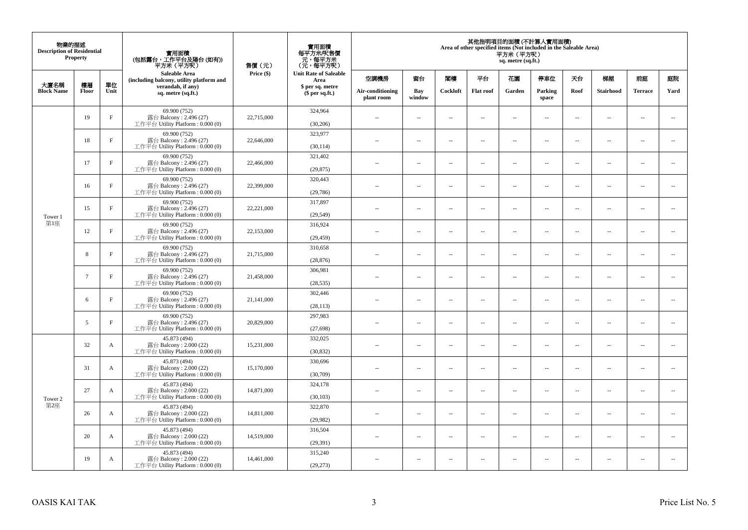| 物業的描述<br><b>Description of Residential</b><br><b>Property</b> |                 |              | 實用面積<br>(包括露台,工作平台及陽台(如有))<br>平方米 (平方呎)                                      | 售價(元)      | 實用面積<br>每平方米/呎售價<br>- 元, 每平方米<br>(元, 每平方呎) | 其他指明項目的面積 (不計算入實用面積)<br>Area of other specified items (Not included in the Saleable Area)<br>平方米(平方呎)<br>sq. metre (sq.ft.) |                          |                          |                          |                          |                          |                          |                          |                |                          |
|---------------------------------------------------------------|-----------------|--------------|------------------------------------------------------------------------------|------------|--------------------------------------------|-----------------------------------------------------------------------------------------------------------------------------|--------------------------|--------------------------|--------------------------|--------------------------|--------------------------|--------------------------|--------------------------|----------------|--------------------------|
|                                                               |                 |              | <b>Saleable Area</b><br>(including balcony, utility platform and             | Price (\$) | <b>Unit Rate of Saleable</b><br>Area       | 空調機房                                                                                                                        | 窗台                       | 閣樓                       | 平台                       | 花園                       | 停車位                      | 天台                       | 梯屋                       | 前庭             | 庭院                       |
| 大廈名稱<br><b>Block Name</b>                                     | 樓層<br>Floor     | 單位<br>Unit   | verandah, if any)<br>sq. metre (sq.ft.)                                      |            | \$ per sq. metre<br>$$$ per sq.ft.)        | Air-conditioning<br>plant room                                                                                              | Bay<br>window            | Cockloft                 | <b>Flat roof</b>         | Garden                   | Parking<br>space         | Roof                     | Stairhood                | <b>Terrace</b> | Yard                     |
|                                                               | 19              | $\rm F$      | 69.900 (752)<br>露台 Balcony: $2.496(27)$<br>工作平台 Utility Platform: 0.000 (0)  | 22,715,000 | 324,964<br>(30, 206)                       | $\sim$                                                                                                                      | $\overline{\phantom{a}}$ | ÷.                       | $\sim$                   | μ.                       | $\sim$                   | $\overline{\phantom{a}}$ | $\overline{\phantom{a}}$ | $\sim$         | $\sim$                   |
|                                                               | 18              | $\mathbf{F}$ | 69.900 (752)<br>露台 Balcony: 2.496 (27)<br>工作平台 Utility Platform : $0.000(0)$ | 22,646,000 | 323,977<br>(30, 114)                       | $\sim$                                                                                                                      | $\sim$                   | ÷.                       | $\sim$                   | μ.                       | $\sim$                   | $\sim$                   | $\overline{\phantom{a}}$ | $\sim$         | $\sim$                   |
|                                                               | 17              | $\mathbf{F}$ | 69.900 (752)<br>露台 Balcony: 2.496 (27)<br>工作平台 Utility Platform : $0.000(0)$ | 22,466,000 | 321,402<br>(29, 875)                       | $-$                                                                                                                         | ÷.                       | $\sim$                   | $\sim$                   | μ.                       | $\sim$                   | $\overline{\phantom{a}}$ | $\overline{\phantom{a}}$ | $\sim$         | $\overline{\phantom{a}}$ |
|                                                               | 16              | $\rm F$      | 69.900 (752)<br>露台 Balcony: 2.496 (27)<br>工作平台 Utility Platform: 0.000 (0)   | 22,399,000 | 320,443<br>(29,786)                        | $\sim$                                                                                                                      | $\overline{\phantom{a}}$ | $\sim$                   | $\sim$                   | $\sim$                   | $\sim$                   | $\sim$                   | $\sim$                   | $\sim$         | $\sim$                   |
| Tower 1                                                       | 15              | $\rm F$      | 69.900 (752)<br>露台 Balcony: 2.496 (27)<br>工作平台 Utility Platform: 0.000 (0)   | 22,221,000 | 317,897<br>(29, 549)                       |                                                                                                                             | $\sim$                   | 4                        | $\sim$                   | μ.                       | $\sim$                   | $\sim$                   | $\overline{\phantom{a}}$ | $\sim$         | $\sim$                   |
| 第1座                                                           | 12              | $\mathbf{F}$ | 69.900 (752)<br>露台 Balcony: 2.496 (27)<br>工作平台 Utility Platform: 0.000 (0)   | 22,153,000 | 316,924<br>(29, 459)                       | $\sim$                                                                                                                      | $\sim$                   | $\sim$                   | $\sim$                   | $\overline{a}$           | $\sim$                   | $\sim$                   | $\overline{\phantom{a}}$ | $\sim$         | $\sim$                   |
|                                                               | 8               | $_{\rm F}$   | 69.900 (752)<br>露台 Balcony: 2.496 (27)<br>工作平台 Utility Platform : $0.000(0)$ | 21,715,000 | 310,658<br>(28, 876)                       | $\sim$                                                                                                                      | $\overline{\phantom{a}}$ | $\overline{\phantom{a}}$ | $\sim$                   | ۰.                       | $\sim$                   | $\overline{\phantom{a}}$ | $\overline{\phantom{a}}$ | $\sim$         | $\overline{\phantom{a}}$ |
|                                                               | $7\overline{ }$ | $\mathbf{F}$ | 69.900 (752)<br>露台 Balcony: 2.496 (27)<br>工作平台 Utility Platform: 0.000 (0)   | 21,458,000 | 306,981<br>(28, 535)                       | $\sim$                                                                                                                      | $\sim$                   | $\sim$                   | $\sim$                   | $\overline{a}$           | $\sim$                   | $\sim$                   | $\sim$                   | $\sim$         | $\sim$                   |
|                                                               | 6               | $_{\rm F}$   | 69.900 (752)<br>露台 Balcony: 2.496 (27)<br>工作平台 Utility Platform: 0.000 (0)   | 21,141,000 | 302,446<br>(28, 113)                       | $\overline{\phantom{a}}$                                                                                                    | $\sim$                   | $\sim$                   | $\sim$                   | μ.                       | $\sim$                   | $\overline{\phantom{a}}$ | $\overline{\phantom{a}}$ | $\sim$         | $\overline{\phantom{a}}$ |
|                                                               | 5               | $\mathbf{F}$ | 69.900 (752)<br>露台 Balcony: 2.496 (27)<br>工作平台 Utility Platform: 0.000 (0)   | 20,829,000 | 297,983<br>(27, 698)                       | $\overline{a}$                                                                                                              | $\sim$                   | ÷.                       | $\sim$                   | μ.                       | $\sim$                   | $\sim$                   | $\overline{\phantom{a}}$ | $\sim$         | $\sim$                   |
|                                                               | 32              | $\mathbf{A}$ | 45.873 (494)<br>露台 Balcony: 2.000 (22)<br>工作平台 Utility Platform: 0.000 (0)   | 15,231,000 | 332,025<br>(30, 832)                       | $-$                                                                                                                         | ÷.                       | $\sim$                   | $\sim$                   | $\overline{a}$           | $\sim$                   | $\overline{\phantom{a}}$ | $\overline{\phantom{a}}$ | $\sim$         | $\sim$                   |
|                                                               | 31              | $\mathbf{A}$ | 45.873 (494)<br>露台 Balcony: 2.000 (22)<br>工作平台 Utility Platform: 0.000 (0)   | 15,170,000 | 330,696<br>(30,709)                        | $\sim$                                                                                                                      | $\sim$                   | $\sim$                   | $\sim$                   | $\overline{a}$           | $\sim$                   | $\sim$                   | $\sim$                   | $\sim$         | $\sim$                   |
| Tower 2                                                       | 27              | $\mathbf{A}$ | 45.873 (494)<br>露台 Balcony: 2.000 (22)<br>工作平台 Utility Platform : 0.000 (0)  | 14,871,000 | 324,178<br>(30, 103)                       | $\overline{\phantom{a}}$                                                                                                    | $\sim$                   | $\overline{\phantom{a}}$ | $\sim$                   | μ.                       | $\sim$                   | $\sim$                   | $\overline{\phantom{a}}$ | $\sim$         | $\sim$                   |
| 第2座                                                           | 26              | A            | 45.873 (494)<br>露台 Balcony: 2.000 (22)<br>工作平台 Utility Platform : $0.000(0)$ | 14,811,000 | 322,870<br>(29,982)                        | $\overline{a}$                                                                                                              | $\overline{\phantom{a}}$ | $\sim$                   | $\sim$                   | $\overline{a}$           | $\sim$                   | $\sim$                   | $\overline{\phantom{a}}$ | $\sim$         | $\sim$                   |
|                                                               | 20              | A            | 45.873 (494)<br>露台 Balcony: 2.000 (22)<br>工作平台 Utility Platform : $0.000(0)$ | 14.519.000 | 316,504<br>(29, 391)                       | $-$                                                                                                                         | $\sim$                   | $\sim$                   | $\sim$                   | ۰.                       | $\sim$                   | $\overline{\phantom{a}}$ | $\overline{\phantom{a}}$ | $\sim$         | $\sim$                   |
|                                                               | 19              | A            | 45.873 (494)<br>露台 Balcony: 2.000 (22)<br>工作平台 Utility Platform: 0.000 (0)   | 14,461,000 | 315,240<br>(29, 273)                       | ٠.                                                                                                                          | $\overline{\phantom{a}}$ | 4                        | $\overline{\phantom{a}}$ | $\overline{\phantom{a}}$ | $\overline{\phantom{a}}$ | $\overline{\phantom{a}}$ | $\overline{\phantom{a}}$ | $\sim$         | $\sim$                   |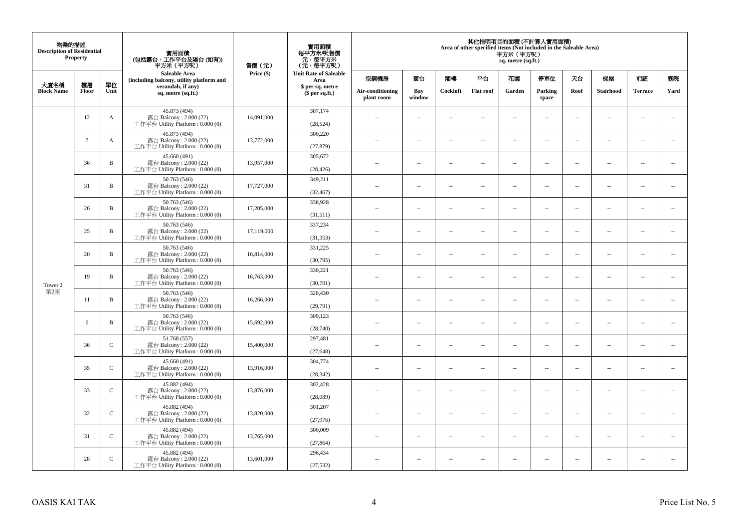| 物業的描述<br><b>Description of Residential</b><br><b>Property</b> |                 |               | 實用面積<br>(包括露台,工作平台及陽台(如有))<br>平方米(平方呎)                                      | 售價(元)      | 實用面積<br>每平方米/呎售價<br>- 元, 每平方米<br>(元, 每平方呎) | 其他指明項目的面積 (不計算入實用面積)<br>Area of other specified items (Not included in the Saleable Area)<br>平方米 (平方呎)<br>sq. metre (sq.ft.) |                          |                          |                          |                          |                          |                          |                          |                          |                             |
|---------------------------------------------------------------|-----------------|---------------|-----------------------------------------------------------------------------|------------|--------------------------------------------|------------------------------------------------------------------------------------------------------------------------------|--------------------------|--------------------------|--------------------------|--------------------------|--------------------------|--------------------------|--------------------------|--------------------------|-----------------------------|
| 大廈名稱                                                          | 樓層              | 單位            | <b>Saleable Area</b><br>(including balcony, utility platform and            | Price (\$) | <b>Unit Rate of Saleable</b><br>Area       | 空調機房                                                                                                                         | 窗台                       | 閣樓                       | 平台                       | 花園                       | 停車位                      | 天台                       | 梯屋                       | 前庭                       | 庭院                          |
| <b>Block Name</b>                                             | Floor           | Unit          | verandah, if any)<br>sq. metre (sq.ft.)                                     |            | \$ per sq. metre<br>\$per sq.ft.)          | Air-conditioning<br>plant room                                                                                               | Bay<br>window            | Cockloft                 | <b>Flat</b> roof         | Garden                   | Parking<br>space         | Roof                     | Stairhood                | <b>Terrace</b>           | Yard                        |
|                                                               | 12              | A             | 45.873 (494)<br>露台 Balcony: 2.000 (22)<br>工作平台 Utility Platform: 0.000 (0)  | 14,091,000 | 307,174<br>(28, 524)                       | $\ddot{\phantom{a}}$                                                                                                         | $\overline{\phantom{a}}$ | $\sim$                   | μ.                       | $\sim$                   | $\sim$                   | $\overline{\phantom{a}}$ | Ξ.                       | $\ddot{\phantom{a}}$     | $\overline{\phantom{a}}$    |
|                                                               | $7\overline{ }$ | A             | 45.873 (494)<br>露台 Balcony: 2.000 (22)<br>工作平台 Utility Platform: 0.000 (0)  | 13,772,000 | 300,220<br>(27, 879)                       | $\sim$                                                                                                                       | $\overline{a}$           | $\sim$                   | $\sim$                   | $\sim$                   | $\sim$                   | $\sim$                   | $\sim$                   | $\sim$                   | $\mathcal{L}_{\mathcal{A}}$ |
|                                                               | 36              | $\, {\bf B}$  | 45.660 (491)<br>露台 Balcony: 2.000 (22)<br>工作平台 Utility Platform : 0.000 (0) | 13,957,000 | 305,672<br>(28, 426)                       | $\overline{\phantom{a}}$                                                                                                     | $\overline{\phantom{a}}$ | $\overline{\phantom{a}}$ | --                       | $\overline{\phantom{a}}$ | $\overline{\phantom{a}}$ | $\overline{\phantom{a}}$ | $\overline{\phantom{a}}$ | $\overline{\phantom{a}}$ | $\overline{\phantom{a}}$    |
|                                                               | 31              | $\, {\bf B}$  | 50.763 (546)<br>露台 Balcony: 2.000 (22)<br>工作平台 Utility Platform: 0.000 (0)  | 17,727,000 | 349,211<br>(32, 467)                       | $\sim$                                                                                                                       | $\overline{\phantom{a}}$ | $\sim$                   | $\sim$                   | $\overline{\phantom{a}}$ | $\sim$                   | $\sim$                   | $\sim$                   | $\overline{\phantom{a}}$ | $\sim$                      |
|                                                               | 26              | B             | 50.763 (546)<br>露台 Balcony: 2.000 (22)<br>工作平台 Utility Platform: 0.000 (0)  | 17,205,000 | 338,928<br>(31,511)                        |                                                                                                                              | μ.                       | ÷.                       | μ.                       | $\sim$                   | $\sim$                   | $\sim$                   | Ξ.                       | $\ddot{\phantom{a}}$     | $\sim$                      |
|                                                               | 25              | $\, {\bf B}$  | 50.763 (546)<br>露台 Balcony: 2.000 (22)<br>工作平台 Utility Platform: 0.000 (0)  | 17,119,000 | 337,234<br>(31, 353)                       | ×.                                                                                                                           | $\sim$                   | $\sim$                   | $\sim$                   | $\sim$                   | $\sim$                   | $\sim$                   | $\overline{a}$           | $\sim$                   | $\sim$                      |
|                                                               | 20              | $\, {\bf B}$  | 50.763 (546)<br>露台 Balcony: 2.000 (22)<br>工作平台 Utility Platform: 0.000 (0)  | 16,814,000 | 331,225<br>(30,795)                        | $\sim$                                                                                                                       | $\overline{\phantom{a}}$ | $\sim$                   | $\overline{\phantom{a}}$ | $\overline{\phantom{a}}$ | $\overline{\phantom{a}}$ | $\overline{\phantom{a}}$ | $\overline{\phantom{a}}$ | $\overline{\phantom{a}}$ | $\overline{\phantom{a}}$    |
| Tower 2                                                       | 19              | $\, {\bf B}$  | 50.763 (546)<br>露台 Balcony: 2.000 (22)<br>工作平台 Utility Platform: 0.000 (0)  | 16,763,000 | 330,221<br>(30,701)                        | $\sim$                                                                                                                       | $\overline{a}$           | $\sim$                   | $\sim$                   | $\overline{a}$           | $\sim$                   | $\overline{\phantom{a}}$ | $\overline{\phantom{a}}$ | $\sim$                   | $\overline{\phantom{a}}$    |
| 第2座                                                           | 11              | $\, {\bf B}$  | 50.763 (546)<br>露台 Balcony: 2.000 (22)<br>工作平台 Utility Platform: 0.000 (0)  | 16,266,000 | 320,430<br>(29,791)                        | $\overline{\phantom{a}}$                                                                                                     | $\sim$                   | $\sim$                   | $\sim$                   | $\sim$                   | $\sim$                   | $\overline{\phantom{a}}$ | $\overline{a}$           | $\sim$                   | $\ddot{\phantom{a}}$        |
|                                                               | 6               | $\, {\bf B}$  | 50.763 (546)<br>露台 Balcony: 2.000 (22)<br>工作平台 Utility Platform : 0.000 (0) | 15,692,000 | 309,123<br>(28,740)                        | $\sim$                                                                                                                       | $\sim$                   | $\sim$                   | $\sim$                   | $\sim$ $\sim$            | $\overline{\phantom{a}}$ | $\sim$                   | $\sim$                   | $\overline{\phantom{a}}$ | $\overline{\phantom{a}}$    |
|                                                               | 36              | $\mathbf C$   | 51.768 (557)<br>露台 Balcony: 2.000 (22)<br>工作平台 Utility Platform : 0.000 (0) | 15,400,000 | 297,481<br>(27, 648)                       |                                                                                                                              | $\overline{\phantom{a}}$ | $\sim$                   | μ.                       | $\sim$                   | $\sim$                   | $\overline{\phantom{a}}$ | Ξ.                       | $\ddot{\phantom{a}}$     | $\sim$                      |
|                                                               | 35              | $\mathcal{C}$ | 45.660 (491)<br>露台 Balcony: 2.000 (22)<br>工作平台 Utility Platform : 0.000 (0) | 13,916,000 | 304,774<br>(28, 342)                       | $\sim$                                                                                                                       | $\overline{a}$           | $\sim$                   | $\sim$                   | $\overline{a}$           | $\sim$                   | $\overline{\phantom{a}}$ | $\overline{\phantom{a}}$ | $\sim$                   | $\sim$                      |
|                                                               | 33              | $\mathsf C$   | 45.882 (494)<br>露台 Balcony: 2.000 (22)<br>工作平台 Utility Platform : 0.000 (0) | 13,876,000 | 302,428<br>(28,089)                        | 44                                                                                                                           | $\overline{\phantom{a}}$ | $\sim$                   | μ.                       | $\overline{\phantom{a}}$ | $\sim$                   | $\overline{\phantom{a}}$ | Ξ.                       | $\ddot{\phantom{a}}$     | $\sim$                      |
|                                                               | 32              | $\mathsf{C}$  | 45.882 (494)<br>露台 Balcony: 2.000 (22)<br>工作平台 Utility Platform : 0.000 (0) | 13,820,000 | 301,207<br>(27,976)                        | $\sim$                                                                                                                       | $\sim$                   | $\sim$                   | $\sim$                   | $\sim$ $\sim$            | $\sim$                   | $\sim$                   | $\sim$                   | $\sim$                   | $\sim$                      |
|                                                               | 31              | $\mathcal{C}$ | 45.882 (494)<br>露台 Balcony: 2.000 (22)<br>工作平台 Utility Platform: 0.000 (0)  | 13,765,000 | 300,009<br>(27, 864)                       | $\sim$ $\sim$                                                                                                                | $\overline{\phantom{a}}$ | $\sim$                   | μ.                       | $\overline{\phantom{a}}$ | $\sim$                   | $\overline{\phantom{a}}$ | $\overline{\phantom{a}}$ | $\sim$                   | $\sim$                      |
|                                                               | 28              | $\mathsf{C}$  | 45.882 (494)<br>露台 Balcony: 2.000 (22)<br>工作平台 Utility Platform: 0.000 (0)  | 13,601,000 | 296,434<br>(27, 532)                       | $\sim$                                                                                                                       | $\sim$                   | $\sim$                   | $\sim$                   | $\sim$ $\sim$            | $\sim$                   | $\overline{\phantom{a}}$ | $\sim$                   | $\sim$                   | $\sim$                      |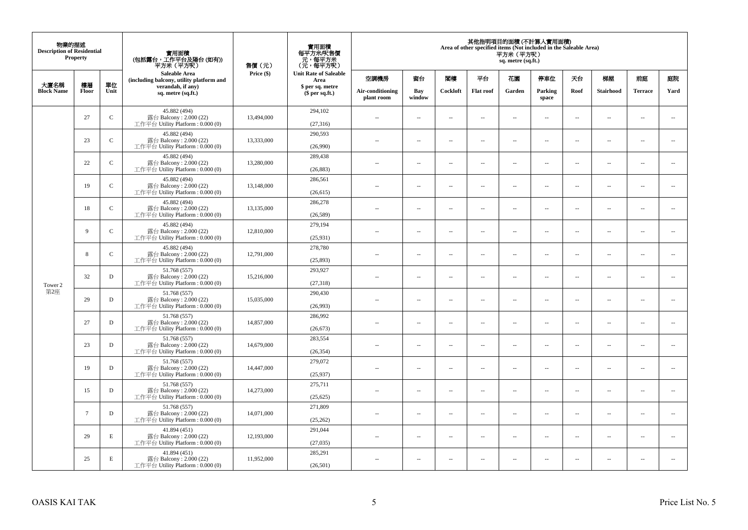| 物業的描述<br><b>Description of Residential</b><br><b>Property</b> |        |              | 實用面積<br>(包括露台,工作平台及陽台(如有))<br>平方米(平方呎)                                       | 售價(元)      | 實用面積<br>每平方米/呎售價<br>- 元, 每平方米<br>(元, 每平方呎) | 其他指明項目的面積 (不計算入實用面積)<br>Area of other specified items (Not included in the Saleable Area)<br>平方米 (平方呎)<br>sq. metre (sq.ft.) |                          |                          |                  |                          |                          |                          |                          |                          |                          |
|---------------------------------------------------------------|--------|--------------|------------------------------------------------------------------------------|------------|--------------------------------------------|------------------------------------------------------------------------------------------------------------------------------|--------------------------|--------------------------|------------------|--------------------------|--------------------------|--------------------------|--------------------------|--------------------------|--------------------------|
| 大廈名稱                                                          | 樓層     | 單位           | <b>Saleable Area</b><br>(including balcony, utility platform and             | Price (\$) | <b>Unit Rate of Saleable</b><br>Area       | 空調機房                                                                                                                         | 窗台                       | 閣樓                       | 平台               | 花園                       | 停車位                      | 天台                       | 梯屋                       | 前庭                       | 庭院                       |
| <b>Block Name</b>                                             | Floor  | Unit         | verandah, if any)<br>sq. metre (sq.ft.)                                      |            | \$ per sq. metre<br>\$per sq.ft.)          | Air-conditioning<br>plant room                                                                                               | Bay<br>window            | Cockloft                 | <b>Flat</b> roof | Garden                   | Parking<br>space         | Roof                     | Stairhood                | <b>Terrace</b>           | Yard                     |
|                                                               | 27     | $\mathbf C$  | 45.882 (494)<br>露台 Balcony: 2.000 (22)<br>工作平台 Utility Platform: 0.000 (0)   | 13,494,000 | 294,102<br>(27,316)                        | $\ddot{\phantom{a}}$                                                                                                         | $\overline{\phantom{a}}$ | $\sim$                   | μ.               | $\sim$                   | $\sim$                   | $\overline{\phantom{a}}$ | Ξ.                       | $\ddot{\phantom{a}}$     | $\overline{\phantom{a}}$ |
|                                                               | 23     | $\mathbf C$  | 45.882 (494)<br>露台 Balcony: 2.000 (22)<br>工作平台 Utility Platform: 0.000 (0)   | 13,333,000 | 290,593<br>(26,990)                        | $\sim$                                                                                                                       | $\overline{a}$           | $\sim$                   | $\sim$           | $\overline{a}$           | $\sim$                   | $\sim$                   | $\sim$                   | $\sim$                   | $\mathbf{u}$             |
|                                                               | 22     | $\mathbf C$  | 45.882 (494)<br>露台 Balcony: 2.000 (22)<br>工作平台 Utility Platform: 0.000 (0)   | 13,280,000 | 289,438<br>(26, 883)                       | $\sim$                                                                                                                       | $\overline{\phantom{a}}$ | $\overline{\phantom{a}}$ | --               | $\overline{\phantom{a}}$ | $\overline{\phantom{a}}$ | $\overline{\phantom{a}}$ | $\overline{\phantom{a}}$ | $\overline{\phantom{a}}$ | $\overline{\phantom{a}}$ |
|                                                               | 19     | $\mathsf{C}$ | 45.882 (494)<br>露台 Balcony: 2.000 (22)<br>工作平台 Utility Platform: 0.000 (0)   | 13,148,000 | 286,561<br>(26, 615)                       | $\sim$                                                                                                                       | $\overline{\phantom{a}}$ | $\sim$                   | $\sim$           | $\overline{\phantom{a}}$ | $\sim$                   | $\sim$                   | $\sim$                   | $\overline{\phantom{a}}$ | $\sim$                   |
|                                                               | 18     | $\mathbf C$  | 45.882 (494)<br>露台 Balcony: 2.000 (22)<br>工作平台 Utility Platform: 0.000 (0)   | 13,135,000 | 286,278<br>(26, 589)                       |                                                                                                                              | μ.                       | ÷.                       | μ.               | $\sim$                   | $\sim$                   | $\sim$                   | Ξ.                       | $\ddot{\phantom{a}}$     | $\sim$                   |
|                                                               | 9      | ${\bf C}$    | 45.882 (494)<br>露台 Balcony: 2.000 (22)<br>工作平台 Utility Platform: 0.000 (0)   | 12,810,000 | 279,194<br>(25,931)                        | ×.                                                                                                                           | $\sim$                   | $\sim$                   | $\sim$           | $\sim$                   | $\sim$                   | $\sim$                   | $\overline{a}$           | $\sim$                   | $\sim$                   |
|                                                               | 8      | $\mathbf C$  | 45.882 (494)<br>露台 Balcony: 2.000 (22)<br>工作平台 Utility Platform: 0.000 (0)   | 12,791,000 | 278,780<br>(25, 893)                       | $\sim$                                                                                                                       | $\overline{\phantom{a}}$ | $\sim$                   | $\overline{a}$   | $\overline{\phantom{a}}$ | $\overline{\phantom{a}}$ | $\overline{\phantom{a}}$ | $\overline{\phantom{a}}$ | $\overline{\phantom{a}}$ | $\overline{\phantom{a}}$ |
| Tower 2                                                       | 32     | $\mathbf D$  | 51.768 (557)<br>露台 Balcony: 2.000 (22)<br>工作平台 Utility Platform: 0.000 (0)   | 15,216,000 | 293.927<br>(27, 318)                       | $\sim$                                                                                                                       | $\overline{a}$           | $\sim$                   | $\sim$           | $\overline{a}$           | $\sim$                   | $\overline{\phantom{a}}$ | $\overline{a}$           | $\sim$                   | $\overline{\phantom{a}}$ |
| 第2座                                                           | 29     | $\mathbf D$  | 51.768 (557)<br>露台 Balcony: 2.000 (22)<br>工作平台 Utility Platform: 0.000 (0)   | 15,035,000 | 290,430<br>(26,993)                        | $\overline{\phantom{a}}$                                                                                                     | $\sim$                   | $\sim$                   | $\sim$           | $\sim$                   | $\sim$                   | $\overline{\phantom{a}}$ | $\overline{a}$           | $\sim$                   | $\ddot{\phantom{a}}$     |
|                                                               | 27     | $\mathbf D$  | 51.768 (557)<br>露台 Balcony: 2.000 (22)<br>工作平台 Utility Platform : 0.000 (0)  | 14,857,000 | 286,992<br>(26, 673)                       | $\sim$                                                                                                                       | $\sim$                   | $\sim$                   | $\sim$           | $\sim$ $\sim$            | $\overline{\phantom{a}}$ | $\sim$                   | $\sim$                   | $\overline{\phantom{a}}$ | $\overline{\phantom{a}}$ |
|                                                               | 23     | D            | 51.768 (557)<br>露台 Balcony: 2.000 (22)<br>工作平台 Utility Platform : 0.000 (0)  | 14,679,000 | 283,554<br>(26, 354)                       |                                                                                                                              | $\overline{\phantom{a}}$ | $\sim$                   | μ.               | $\sim$                   | $\sim$                   | $\overline{\phantom{a}}$ | Ξ.                       | $\ddot{\phantom{a}}$     | $\sim$                   |
|                                                               | 19     | D            | 51.768 (557)<br>露台 Balcony: 2.000 (22)<br>工作平台 Utility Platform : 0.000 (0)  | 14,447,000 | 279,072<br>(25,937)                        | $\sim$                                                                                                                       | $\overline{a}$           | $\sim$                   | $\sim$           | $\overline{a}$           | $\sim$                   | $\overline{\phantom{a}}$ | $\overline{a}$           | $\sim$                   | $\sim$                   |
|                                                               | 15     | $\mathbf D$  | 51.768 (557)<br>露台 Balcony: 2.000 (22)<br>工作平台 Utility Platform : 0.000 (0)  | 14,273,000 | 275,711<br>(25, 625)                       | 44                                                                                                                           | $\overline{\phantom{a}}$ | $\sim$                   | μ.               | $\overline{\phantom{a}}$ | $\sim$                   | $\overline{\phantom{a}}$ | Ξ.                       | $\ddot{\phantom{a}}$     | $\sim$                   |
|                                                               | $\tau$ | $\mathbf D$  | 51.768 (557)<br>露台 Balcony: 2.000 (22)<br>工作平台 Utility Platform : 0.000 (0)  | 14,071,000 | 271,809<br>(25, 262)                       | $\sim$                                                                                                                       | $\sim$                   | $\sim$                   | $\sim$           | $\sim$ $\sim$            | $\sim$                   | $\sim$                   | $\sim$                   | $\sim$                   | $\sim$                   |
|                                                               | 29     | E            | 41.894 (451)<br>露台 Balcony: 2.000 (22)<br>工作平台 Utility Platform : $0.000(0)$ | 12,193,000 | 291,044<br>(27,035)                        | $\sim$ $\sim$                                                                                                                | $\overline{\phantom{a}}$ | $\sim$                   | μ.               | $\overline{\phantom{a}}$ | $\sim$                   | $\overline{\phantom{a}}$ | $\overline{\phantom{a}}$ | $\sim$                   | $\sim$                   |
|                                                               | 25     | E            | 41.894 (451)<br>露台 Balcony: 2.000 (22)<br>工作平台 Utility Platform: 0.000 (0)   | 11,952,000 | 285,291<br>(26,501)                        | $\sim$                                                                                                                       | $\sim$                   | $\sim$                   | $\sim$           | $\sim$ $\sim$            | $\sim$                   | $\overline{\phantom{a}}$ | $\sim$                   | $\sim$                   | $\sim$                   |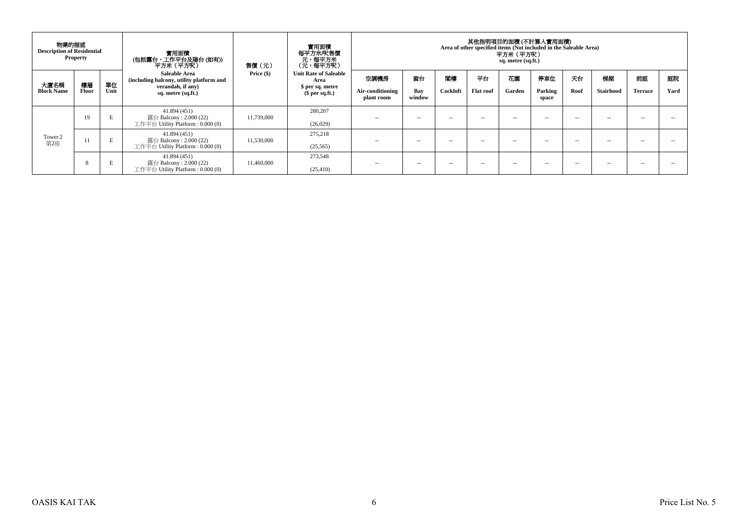| 物業的描述<br><b>Description of Residential</b><br><b>Property</b> |       |      | 實用面積<br>(包括露台,工作平台及陽台(如有))<br>平方米 (平方呎)                                        | 售價(元)        | 實用面積<br>每平方米/呎售價<br>- 元 ,每平方米<br>(元 ,每平方呎)               | 其他指明項目的面積 (不計算入實用面積)<br>Area of other specified items (Not included in the Saleable Area)<br>平方米(平方呎)<br>sq. metre (sq.ft.) |               |               |                  |               |                  |      |                  |                |      |  |
|---------------------------------------------------------------|-------|------|--------------------------------------------------------------------------------|--------------|----------------------------------------------------------|-----------------------------------------------------------------------------------------------------------------------------|---------------|---------------|------------------|---------------|------------------|------|------------------|----------------|------|--|
| 大廈名稱                                                          | 樓層    | 單位   | Saleable Area<br>(including balcony, utility platform and<br>verandah, if any) | Price $(\$)$ | <b>Unit Rate of Saleable</b><br>Area<br>\$ per sq. metre | 空調機房                                                                                                                        | 窗台            | 閣樓            | 平台               | 花園            | 停車位              | 天台   | 梯屋               | 前庭             | 庭院   |  |
| <b>Block Name</b>                                             | Floor | Unit | sq. metre (sq.ft.)                                                             |              | $$per sq.f.$ )                                           | Air-conditioning<br>plant room                                                                                              | Bay<br>window | Cockloft      | <b>Flat roof</b> | Garden        | Parking<br>space | Roof | <b>Stairhood</b> | <b>Terrace</b> | Yard |  |
|                                                               | 19    | E    | 41.894 (451)<br>露台 Balcony : 2.000 (22)<br>工作平台 Utility Platform : $0.000(0)$  | 11,739,000   | 280,207<br>(26,029)                                      | $\sim$                                                                                                                      | $\sim$ $\sim$ | $\sim$        | -                | $\sim$ $\sim$ | -                | $-$  | $- -$            | $\sim$         | - -  |  |
| Tower 2<br>第2座                                                | 11    | E    | 41.894 (451)<br>露台 Balcony : 2.000 (22)<br>工作平台 Utility Platform : $0.000(0)$  | 11,530,000   | 275,218<br>(25, 565)                                     | $\sim$                                                                                                                      | $\sim$ $\sim$ | $\sim$ $\sim$ | $\sim$ $\sim$    | $\sim$ $\sim$ | -                | $-$  | $- -$            | $\sim$ $\sim$  | - -  |  |
|                                                               | 8     | E    | 41.894 (451)<br>露台 Balcony : 2.000 (22)<br>工作平台 Utility Platform : $0.000(0)$  | 11,460,000   | 273.548<br>(25, 410)                                     | $\sim$                                                                                                                      | $\sim$ $\sim$ | $\sim$ $\sim$ | -                | $\sim$ $\sim$ | -                | $-$  | $- -$            | -              |      |  |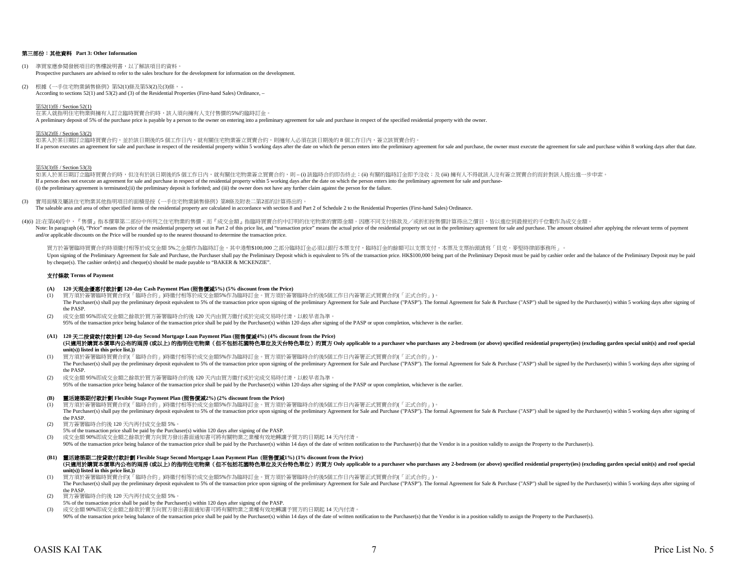### 第三部份:其他資料 **Part 3: Other Information**

- (1) 準買家應參閱發展項目的售樓說明書,以了解該項目的資料。 Prospective purchasers are advised to refer to the sales brochure for the development for information on the development.
- (2) 根據《一手住宅物業銷售條例》第52(1)條及第53(2)及(3)條, According to sections 52(1) and 53(2) and (3) of the Residential Properties (First-hand Sales) Ordinance, –

#### 第52(1)條 / Section 52(1)

在某人就指明住宅物業與擁有人訂立臨時買賣合約時,該人須向擁有人支付售價的5%的臨時訂金。 A preliminary deposit of 5% of the purchase price is payable by a person to the owner on entering into a preliminary agreement for sale and purchase in respect of the specified residential property with the owner.

#### 第53(2)條 / Section 53(2)

如某人於某日期訂立臨時買賣合約,並於該日期後的5 個工作日內,就有關住宅物業簽立買賣合約,則擁有人必須在該日期後的 8 個工作日內,簽立該買賣合約。 If a person executes an agreement for sale and purchase in respect of the residential property within 5 working days after the date on which the person enters into the preliminary agreement for sale and purchase, the owner

#### 第53(3)條 / Section 53(3)

如某人於某日期訂立臨時買賣合約時,但沒有於該日期後的5 個工作日内,就有關住宅物業簽立買賣合約,則 – (i) 該臨時合約即告終止;(ii) 有關的臨時訂金即予沒收;及 (iii) 擁有人不得就該人沒有簽立買賣合約而針對該人提出進一步申索。 If a person does not execute an agreement for sale and purchase in respect of the residential property within 5 working days after the date on which the person enters into the preliminary agreement for sale and purchase-(i) the preliminary agreement is terminated;(ii) the preliminary deposit is forfeited; and (iii) the owner does not have any further claim against the person for the failure.

- (3) 實用面積及屬該住宅物業其他指明項目的面積是按《一手住宅物業銷售條例》第8條及附表二第2部的計算得出的。 The saleable area and area of other specified items of the residential property are calculated in accordance with section 8 and Part 2 of Schedule 2 to the Residential Properties (First-hand Sales) Ordinance.
- (4)(i) 註:在第(4)段中,『售價』指本價單第二部份中所列之住宅物業的售價,而『成交金額』指臨時買賣合約中訂明的住宅物業的實際金額。因應不同支付條款及/或折扣按售價計算得出之價目,皆以進位到最接近的千位數作為成交金額。 Note: In paragraph (4), "Price" means the price of the residential property set out in Part 2 of this price list, and "transaction price" means the actual price of the residential property set out in the preliminary agreem and/or applicable discounts on the Price will be rounded up to the nearest thousand to determine the transaction price.

買方於簽署臨時買賣合約時須繳付相等於成交金額ら%之金額作為臨時訂金,其中港幣\$100,000 之部分臨時訂金必須以銀行本票支付,臨時訂金的餘額可以支票支付,本票及支票抬頭請寫「貝克‧麥堅時律師事務所」。 Upon signing of the Preliminary Agreement for Sale and Purchase, the Purchaser shall pay the Preliminary Deposit which is equivalent to 5% of the transaction price. HK\$100,000 being part of the Preliminary Deposit must be by cheque(s). The cashier order(s) and cheque(s) should be made payable to "BAKER & MCKENZIE".

#### 支付條款 **Terms of Payment**

#### **(A) 120** 天現金優惠付款計劃 **120-day Cash Payment Plan (**照售價減**5%) (5% discount from the Price)**

- (1) 買方須於簽署臨時買賣合約(「臨時合約」)時繳付相等於成交金額5%作為臨時訂金。買方須於簽署臨時合約後5個工作日內簽署正式買賣合約(「正式合約」)。 The Purchaser(s) shall pay the preliminary deposit equivalent to 5% of the transaction price upon signing of the preliminary Agreement for Sale and Purchase ("PASP"). The formal Agreement for Sale & Purchase ("ASP") shall the PASP.
- (2) 成交金額 95%即成交金額之餘款於買方簽署臨時合約後 120 天內由買方繳付或於完成交易時付清,以較早者為準。 95% of the transaction price being balance of the transaction price shall be paid by the Purchaser(s) within 120 days after signing of the PASP or upon completion, whichever is the earlier.
- **(A1) 120** 天二按貸款付款計劃 **120-day Second Mortgage Loan Payment Plan (**照售價減**4%) (4% discount from the Price) unit(s)) listed in this price list.))** (只適用於購買本價單内公布的兩房(或以上)的指明住宅物業 (但不包括花園特色單位及天台特色單位) 的買方 Only applicable to a purchaser who purchases any 2-bedroom (or above) specified residential property(ies) (excluding garden special unit(s) and roof special
- (1) 買方須於簽署臨時買賣合約(「臨時合約」)時繳付相等於成交金額5%作為臨時訂金。買方須於簽署臨時合約後5個工作日內簽署正式買賣合約(「正式合約」)。 The Purchaser(s) shall pay the preliminary deposit equivalent to 5% of the transaction price upon signing of the preliminary Agreement for Sale and Purchase ("PASP"). The formal Agreement for Sale & Purchase ("ASP") shall the PASP.
- (2) 成交金額 95%即成交金額之餘款於買方簽署臨時合約後 120 天內由買方繳付或於完成交易時付清,以較早者為準。
- 95% of the transaction price being balance of the transaction price shall be paid by the Purchaser(s) within 120 days after signing of the PASP or upon completion, whichever is the earlier.

#### **(B)** 靈活建築期付款計劃 **Flexible Stage Payment Plan (**照售價減**2%) (2% discount from the Price)**

- (1) 買方須於簽署臨時買賣合約(「臨時合約」)時繳付相等於成交金額5%作為臨時訂金。買方須於簽署臨時合約後5個工作日內簽署正式買賣合約(「正式合約」)。
- The Purchaser(s) shall pay the preliminary deposit equivalent to 5% of the transaction price upon signing of the preliminary Agreement for Sale and Purchase ("PASP"). The formal Agreement for Sale & Purchase ("ASP") shall the PASP.
- (2) 買方簽署臨時合約後 120 天內再付成交金額 5%。
- 5% of the transaction price shall be paid by the Purchaser(s) within 120 days after signing of the PASP.
- (3) 成交金額 90%即成交金額之餘款於賣方向買方發出書面通知書可將有關物業之業權有效地轉讓予買方的日期起 14 天內付清。
- 90% of the transaction price being balance of the transaction price shall be paid by the Purchaser(s) within 14 days of the date of written notification to the Purchaser(s), that the Vendor is in a position validly to assi
- **(B1)** 靈活建築期二按貸款付款計劃 **Flexible Stage Second Mortgage Loan Payment Plan (**照售價減**1%) (1% discount from the Price) unit(s)) listed in this price list.))** (只適用於講買本價單內公布的兩房 (或以上)的指明住宅物業 (但不包括花園特色單位及天台特色單位) 的買方 Only applicable to a purchaser who purchases any 2-bedroom (or above) specified residential property(ies) (excluding garden special unit(s) and roof special

(1) 買方須於簽署臨時買賣合約(「臨時合約」)時繳付相等於成交金額5%作為臨時訂金。買方須於簽署臨時合約後5個工作日內簽署正式買賣合約(「正式合約」)。

- The Purchaser(s) shall pay the preliminary deposit equivalent to 5% of the transaction price upon signing of the preliminary Agreement for Sale and Purchase ("PASP"). The formal Agreement for Sale & Purchase ("ASP") shall the PASP.
- (2) 買方簽署臨時合約後 120 天內再付成交金額 5%。
- 5% of the transaction price shall be paid by the Purchaser(s) within 120 days after signing of the PASP.
- (3) 成交金額 90%即成交金額之餘款於賣方向買方發出書面通知書可將有關物業之業權有效地轉讓予買方的日期起 14 天內付清。

90% of the transaction price being balance of the transaction price shall be paid by the Purchaser(s) within 14 days of the date of written notification to the Purchaser(s), that the Vendor is in a position validly to assi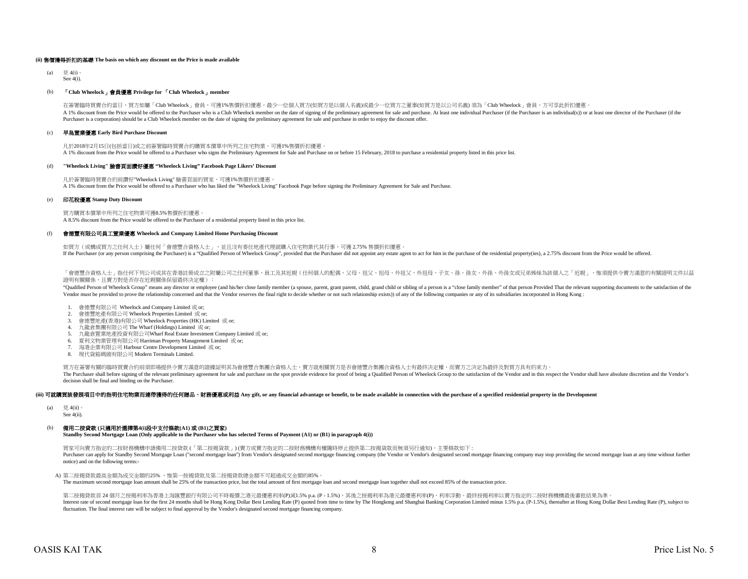#### **(ii)** 售價獲得折扣的基礎 **The basis on which any discount on the Price is made available**

 $(a)$   $\boxplus$  4(i) See 4(i).

#### (b) 「**Club Wheelock**」會員優惠 **Privilege for** 「**Club Wheelock**」**member**

A 1% discount from the Price would be offered to the Purchaser who is a Club Wheelock member on the date of signing of the preliminary agreement for sale and purchase. At least one individual Purchaser (if the Purchaser is Purchaser is a corporation) should be a Club Wheelock member on the date of signing the preliminary agreement for sale and purchase in order to enjoy the discount offer. 在簽署臨時買賣合約當日,買方如屬「Club Wheelock」會員,可獲1%售價折扣優惠。最少一位個人買方(如買方是以個人名義)或最少一位買方之董事(如買方是以公司名義) 須為「Club Wheelock」會員,方可享此折扣優惠。

#### (c) 早鳥置業優惠 **Early Bird Purchase Discount**

凡於2018年2月15日(包括當日)或之前簽署臨時買賣合約購買本價單中所列之住宅物業,可獲1%售價折扣優惠。 A 1% discount from the Price would be offered to a Purchaser who signs the Preliminary Agreement for Sale and Purchase on or before 15 February, 2018 to purchase a residential property listed in this price list.

#### (d) **"Wheelock Living"** 臉書頁面讚好優惠 **"Wheelock Living" Facebook Page Likers' Discount**

凡於簽署臨時買賣合約前讚好"Wheelock Living" 臉書頁面的買家,可獲1%售價折扣優惠。 A 1% discount from the Price would be offered to a Purchaser who has liked the "Wheelock Living" Facebook Page before signing the Preliminary Agreement for Sale and Purchase.

#### (e) 印花稅優惠 **Stamp Duty Discount**

買方購買本價單中所列之住宅物業可獲8.5%售價折扣優惠。 A 8.5% discount from the Price would be offered to the Purchaser of a residential property listed in this price list.

#### (f) 會德豐有限公司員工置業優惠 **Wheelock and Company Limited Home Purchasing Discount**

如買方(或構成買方之任何人士)屬任何「會德豐合資格人士」,並且沒有委任地產代理就購入住宅物業代其行事,可獲 2.75% 售價折扣優惠 If the Purchaser (or any person comprising the Purchaser) is a "Qualified Person of Wheelock Group", provided that the Purchaser did not appoint any estate agent to act for him in the purchase of the residential property(i

「會德豐合資格人士」指任何下列公司或其在香港註冊成立之附屬公司之任何董事、員工及其近親(任何個人的配偶、父母、祖父、祖母、外祖父、外祖母、子女、孫、孫女、外孫女或兄弟姊妹為該個人之「近親」,惟須提供令賣方滿意的有關證明文件以茲 證明有關關係,且賣方對是否存在近親關係保留最終決定權):

"Qualified Person of Wheelock Group" means any director or employee (and his/her close family member (a spouse, parent, grant parent, child, grand child or sibling of a person is a "close family member" of that person Prov Vendor must be provided to prove the relationship concerned and that the Vendor reserves the final right to decide whether or not such relationship exists)) of any of the following companies or any of its subsidiaries inco

- 1. 會德豐有限公司 Wheelock and Company Limited 或 or;
- 2. 會德豐地產有限公司 Wheelock Properties Limited 或 or;
- 3. 會德豐地產(香港)有限公司 Wheelock Properties (HK) Limited 或 or;
- 4. 九龍倉集團有限公司 The Wharf (Holdings) Limited 或 or;
- 5. 九龍倉置業地產投資有限公司Wharf Real Estate Investment Company Limited 或 or;
- 6. 夏利文物業管理有限公司 Harriman Property Management Limited 或 or;
- 7. 海港企業有限公司 Harbour Centre Development Limited 或 or;
- 8. 現代貨箱碼頭有限公司 Modern Terminals Limited.

買方在簽署有關的臨時買賣合約前須即場提供令賣方滿意的證據証明其為會德豐合集團合資格人士,賣方就相關買方是否會德豐合集團合資格人士有最終決定權,而賣方之決定為最終及對買方具有約束力。 The Purchaser shall before signing of the relevant preliminary agreement for sale and purchase on the spot provide evidence for proof of being a Qualified Person of Wheelock Group to the satisfaction of the Vendor and in t decision shall be final and binding on the Purchaser.

#### (iii) 可就購買該發展項目中的指明住宅物業而連帶獲得的任何贈品、財務優惠或利益 Any gift, or any financial advantage or benefit, to be made available in connection with the purchase of a specified residential property in the Development

- (a)  $\quad \quad \overline{H}$ , 4(ii)
- See 4(ii).

## (b) 備用二按貸款 **(**只適用於選擇第**4(i)**段中支付條款**(A1)** 或 **(B1)**之買家**)**

**Standby Second Mortgage Loan (Only applicable to the Purchaser who has selected Terms of Payment (A1) or (B1) in paragraph 4(i))**

買家可向賣方指定的二按財務機構申請備用二按貸款 (「第二按揭貨款」) (賣方或賣方指定的二按財務機構有權隨時停止提供第二按揭貨款而無須另行通知),主要條款如下 : Purchaser can apply for Standby Second Mortgage Loan ("second mortgage loan") from Vendor's designated second mortgage financing company (the Vendor or Vendor's designated second mortgage financing company may stop providi notice) and on the following terms:-

A) 第二按揭貸款最高金額為成交金額的25%, 惟第一按揭貸款及第二按揭貸款總金額不可超過成交金額的85%。

The maximum second mortgage loan amount shall be 25% of the transaction price, but the total amount of first mortgage loan and second mortgage loan together shall not exceed 85% of the transaction price.

第二按揭貸款首 24 個月之按揭利率為香港上海匯豐銀行有限公司不時報價之港元最優惠利率(P)減1.5% p.a. (P - 1.5%),其後之按揭利率為港元最優惠利率(P),利率浮動。最終按揭利率以賣方指定的二按財務機構最後審批結果為準 Interest rate of second mortgage loan for the first 24 months shall be Hong Kong Dollar Best Lending Rate (P) quoted from time to time by The Hongkong and Shanghai Banking Corporation Limited minus 1.5% p.a. (P-1.5%), ther fluctuation. The final interest rate will be subject to final approval by the Vendor's designated second mortgage financing company.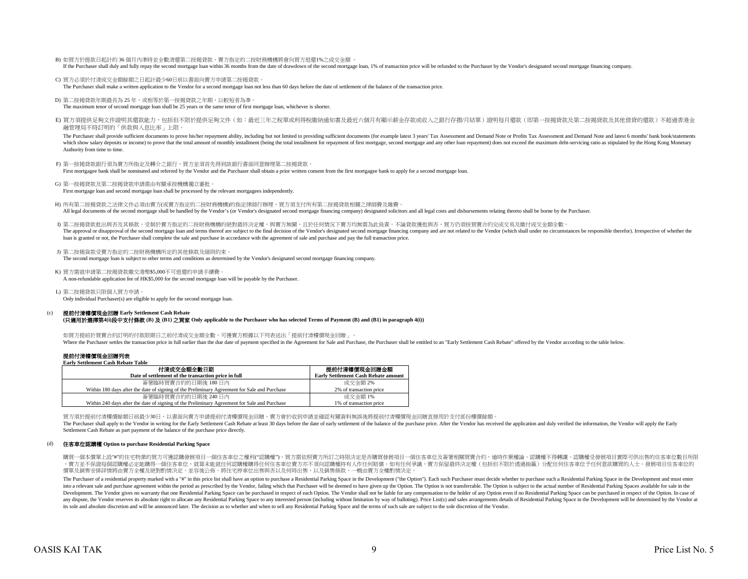- B) 如買方於提款日起計的 36 個月內準時並全數清還第二按揭貸款,賣方指定的二按財務機構將會向買方退還1%之成交金額 。 If the Purchaser shall duly and fully repay the second mortgage loan within 36 months from the date of drawdown of the second mortgage loan, 1% of transaction price will be refunded to the Purchaser by the Vendor's designa
- C) 買方必須於付清成交金額餘額之日起計最少60日前以書面向賣方申請第二按揭貸款。 The Purchaser shall make a written application to the Vendor for a second mortgage loan not less than 60 days before the date of settlement of the balance of the transaction price.
- D) 第二按揭貸款年期最長為 25 年,或相等於第一按揭貸款之年期,以較短者為準。

The maximum tenor of second mortgage loan shall be 25 years or the same tenor of first mortgage loan, whichever is shorter.

E) 買方須提供足夠文件證明其還款能力,包括但不限於提供足夠文件(如:最近三年之稅單或利得稅繳納通知書及最近六個月有顯示薪金存款或收入之銀行存摺/月結單)證明每月還款(即第一按揭貸款及第二按揭貸款及其他借貸的還款)不超過香港金 融管理局不時訂明的「供款與入息比率」上限。

The Purchaser shall provide sufficient documents to prove his/her repayment ability, including but not limited to providing sufficient documents (for example latest 3 years' Tax Assessment and Demand Note or Profits Tax As which show salary deposits or income) to prove that the total amount of monthly installment (being the total installment for repayment of first mortgage, second mortgage and any other loan repayment) does not exceed the ma Authority from time to time.

F) 第一按揭貸款銀行須為賣方所指定及轉介之銀行,買方並須首先得到該銀行書面同意辦理第二按揭貸款。 First mortgagee bank shall be nominated and referred by the Vendor and the Purchaser shall obtain a prior written consent from the first mortgagee bank to apply for a second mortgage loan.

G) 第一按揭貸款及第二按揭貸款申請需由有關承按機構獨立審批。 First mortgage loan and second mortgage loan shall be processed by the relevant mortgagees independently.

- H) 所有第二按揭貸款之法律文件必須由賣方(或賣方指定的二按財務機構)的指定律師行辦理,買方須支付所有第二按揭貸款相關之律師費及雜費。 All legal documents of the second mortgage shall be handled by the Vendor's (or Vendor's designated second mortgage financing company) designated solicitors and all legal costs and disbursements relating thereto shall be b
- I) 第二按揭貸款批出與否及其條款,受制於賣方指定的二按財務機構的絕對最終決定權,與賣方無關,且於任何情況下賣方均無需為此負責。不論貸款獲批與否,買方仍須按買賣合約完成交易及繳付成交金額全數。 The approval or disapproval of the second mortgage loan and terms thereof are subject to the final decision of the Vendor's designated second mortgage financing company and are not related to the Vendor (which shall under loan is granted or not, the Purchaser shall complete the sale and purchase in accordance with the agreement of sale and purchase and pay the full transaction price.

```
J) 第二按揭貨款受賣方指定的二按財務機構所定的其他條款及細則約束。
```
The second mortgage loan is subject to other terms and conditions as determined by the Vendor's designated second mortgage financing company.

- K) 買方需就申請第二按揭貸款繳交港幣\$5,000不可退還的申請手續費。 A non-refundable application fee of HK\$5,000 for the second mortgage loan will be payable by the Purchaser.
- L) 第二按揭貸款只限個人買方申請。 Only individual Purchaser(s) are eligible to apply for the second mortgage loan.

#### (c) 提前付清樓價現金回贈 **Early Settlement Cash Rebate**

#### **(**只適用於選擇第**4(i)**段中支付條款 **(B)** 及 **(B1)** 之買家 **Only applicable to the Purchaser who has selected Terms of Payment (B) and (B1) in paragraph 4(i))**

如買方提前於買賣合約訂明的付款限期日之前付清成交金額全數,可獲賣方根據以下列表送出「提前付清樓價現金回贈」。 Where the Purchaser settles the transaction price in full earlier than the due date of payment specified in the Agreement for Sale and Purchaser shall be entitled to an "Early Settlement Cash Rebate" offered by the Vendor

## 提前付清樓價現金回贈列表

**Early Settlement Cash Rebate Table**

| 付清成交金額全數日期                                                                                   | 提前付清樓價現金回贈金額                               |  |  |  |  |  |
|----------------------------------------------------------------------------------------------|--------------------------------------------|--|--|--|--|--|
| Date of settlement of the transaction price in full                                          | <b>Early Settlement Cash Rebate amount</b> |  |  |  |  |  |
| 簽署臨時買賣合約的日期後 180日内                                                                           | 成交金額 2%                                    |  |  |  |  |  |
| Within 180 days after the date of signing of the Preliminary Agreement for Sale and Purchase | 2% of transaction price                    |  |  |  |  |  |
| 簽署臨時買賣合約的日期後 240 日内                                                                          | 成交金額 1%                                    |  |  |  |  |  |
| Within 240 days after the date of signing of the Preliminary Agreement for Sale and Purchase | 1% of transaction price                    |  |  |  |  |  |

買方須於提前付清樓價餘額日前最少30日,以書面向賣方申請提前付清樓價現金回贈,賣方會於收到申請並確認有關資料無誤後將提前付清樓價現金回贈直接用於支付部份樓價餘額。

The Purchaser shall apply to the Vendor in writing for the Early Settlement Cash Rebate at least 30 days before the date of early settlement of the balance of the purchase price. After the Vendor has received the applicati Settlement Cash Rebate as part payment of the balance of the purchase price directly.

#### (d) 住客車位認購權 **Option to purchase Residential Parking Space**

購買一個本價單上設"#"的住宅物業的買方可獲認購發展項目一個住客車位之權利("認購權")。買方需依照賣方所訂之時限決定是否購買發展項目一個住客車位及簽署相關買賣合約,逾時作棄權論。認購權不得轉讓。認購權受發展項目實際可供出售的住客車位數目所限 ,賣方並不保證每個認購權必定能購得一個住客車位,就算未能就任何認購權購得任何住客車位賣方亦不須向認購權持有人作任何賠償。如有任何爭議,賣方保留最終決定權(包括但不限於透過抽籤)分配任何住客車位子任何意欲購買的人士。發展項目住客車位的 價單及銷售安排詳情將由賣方全權及絕對酌情決定,並容後公佈。將住宅停車位出售與否以及何時出售,以及銷售條款,一概由賣方全權酌情決定。

The Purchaser of a residential property marked with a "#" in this price list shall have an option to purchase a Residential Parking Space in the Development ("the Option"). Each such Purchaser must decide whether to purcha into a relevant sale and purchase agreement within the period as prescribed by the Vendor, failing which that Purchaser will be deemed to have given up the Option. The Option is not transferrable. The Option is subject to Development. The Vendor gives no warranty that one Residential Parking Space can be purchased in respect of each Option. The Vendor shall not be liable for any compensation to the holder of any Option even if no Residentia any dispute, the Vendor reserves its absolute right to allocate any Residential Parking Space to any interested person (including without limitation by way of balloting). Price List(s) and sales arrangements details of Res its sole and absolute discretion and will be announced later. The decision as to whether and when to sell any Residential Parking Space and the terms of such sale are subject to the sole discretion of the Vendor.